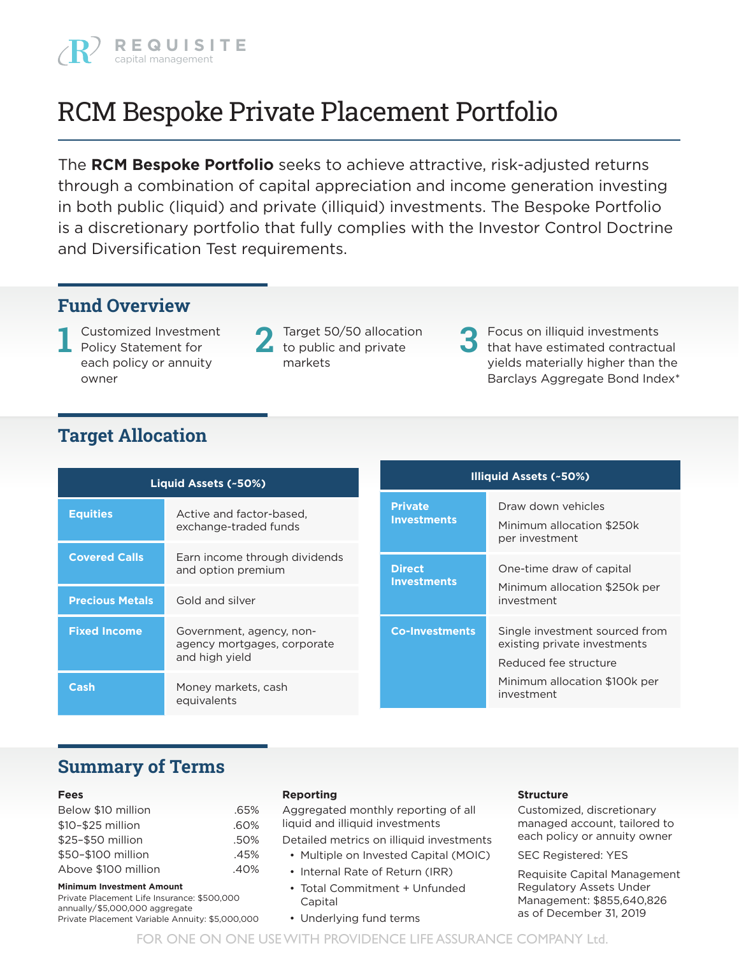

# RCM Bespoke Private Placement Portfolio

The **RCM Bespoke Portfolio** seeks to achieve attractive, risk-adjusted returns through a combination of capital appreciation and income generation investing in both public (liquid) and private (illiquid) investments. The Bespoke Portfolio is a discretionary portfolio that fully complies with the Investor Control Doctrine and Diversification Test requirements.

## **Fund Overview**

Customized Investment Policy Statement for each policy or annuity owner

- **1** Target 50/50 allocation to public and private markets
- **2** Focus on illiquid investments that have estimated contractual yields materially higher than the Barclays Aggregate Bond Index\* **3**

# **Target Allocation**

|                        | Liquid Assets (~50%)                                                      | <b>Illiquid Assets (~50%)</b>        |                                                                                         |  |  |  |
|------------------------|---------------------------------------------------------------------------|--------------------------------------|-----------------------------------------------------------------------------------------|--|--|--|
| <b>Equities</b>        | Active and factor-based.<br>exchange-traded funds                         | <b>Private</b><br><b>Investments</b> | Draw down vehicles<br>Minimum allocation \$250k<br>per investment                       |  |  |  |
| <b>Covered Calls</b>   | Earn income through dividends<br>and option premium                       | <b>Direct</b><br><b>Investments</b>  | One-time draw of capital<br>Minimum allocation \$250k per                               |  |  |  |
| <b>Precious Metals</b> | Gold and silver                                                           |                                      | investment                                                                              |  |  |  |
| <b>Fixed Income</b>    | Government, agency, non-<br>agency mortgages, corporate<br>and high yield | <b>Co-Investments</b>                | Single investment sourced from<br>existing private investments<br>Reduced fee structure |  |  |  |
| Cash                   | Money markets, cash<br>equivalents                                        |                                      | Minimum allocation \$100k per<br>investment                                             |  |  |  |

### **Summary of Terms**

#### **Fees**

| Below \$10 million  | .65% |
|---------------------|------|
| \$10-\$25 million   | .60% |
| \$25-\$50 million   | .50% |
| \$50-\$100 million  | .45% |
| Above \$100 million | .40% |
|                     |      |

#### **Minimum Investment Amount**

Private Placement Life Insurance: \$500,000 annually/\$5,000,000 aggregate Private Placement Variable Annuity: \$5,000,000

#### **Reporting**

Aggregated monthly reporting of all liquid and illiquid investments

Detailed metrics on illiquid investments

- Multiple on Invested Capital (MOIC)
- Internal Rate of Return (IRR)
- Total Commitment + Unfunded Capital
- Underlying fund terms

#### **Structure**

Customized, discretionary managed account, tailored to each policy or annuity owner

SEC Registered: YES

Requisite Capital Management Regulatory Assets Under Management: \$855,640,826 as of December 31, 2019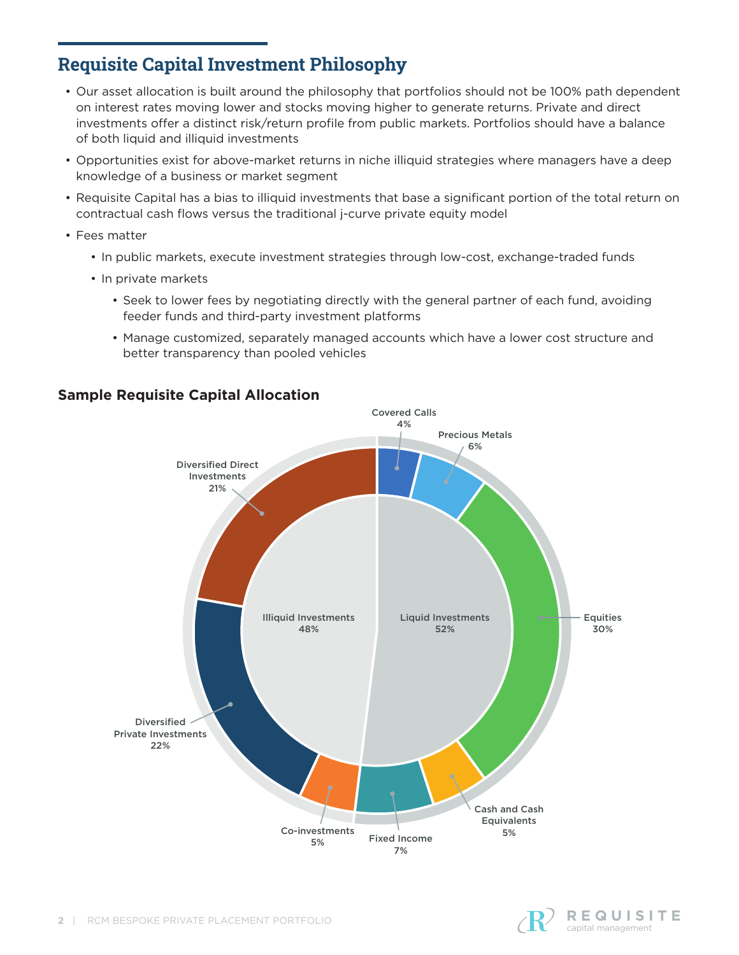# **Requisite Capital Investment Philosophy**

- Our asset allocation is built around the philosophy that portfolios should not be 100% path dependent on interest rates moving lower and stocks moving higher to generate returns. Private and direct investments offer a distinct risk/return profile from public markets. Portfolios should have a balance of both liquid and illiquid investments
- Opportunities exist for above-market returns in niche illiquid strategies where managers have a deep knowledge of a business or market segment
- Requisite Capital has a bias to illiquid investments that base a significant portion of the total return on contractual cash flows versus the traditional j-curve private equity model
- Fees matter
	- In public markets, execute investment strategies through low-cost, exchange-traded funds
	- In private markets
		- Seek to lower fees by negotiating directly with the general partner of each fund, avoiding feeder funds and third-party investment platforms
		- Manage customized, separately managed accounts which have a lower cost structure and better transparency than pooled vehicles



### **Sample Requisite Capital Allocation**

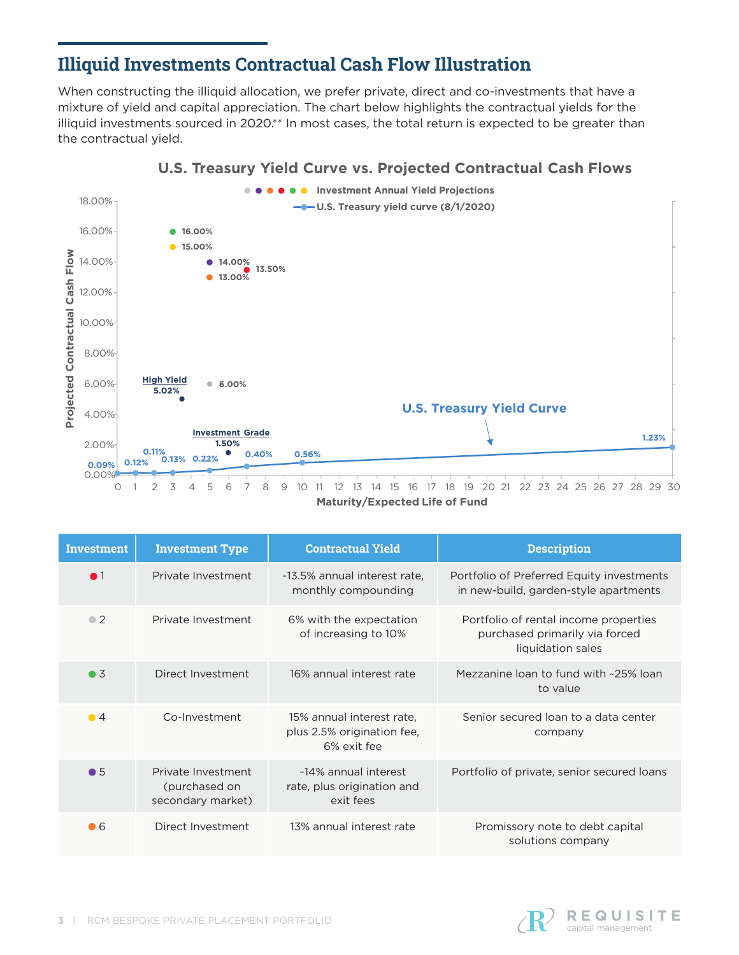# **Illiquid Investments Contractual Cash Flow Illustration**

When constructing the illiquid allocation, we prefer private, direct and co-investments that have a mixture of yield and capital appreciation. The chart below highlights the contractual yields for the illiquid investments sourced in 2020.\*\* In most cases, the total return is expected to be greater than the contractual yield.



### **U.S. Treasury Yield Curve vs. Projected Contractual Cash Flows**

**Maturity/Expected Life of Fund**

| <b>Investment</b> | <b>Investment Type</b>                                   | <b>Contractual Yield</b>                                               | <b>Description</b>                                                                           |
|-------------------|----------------------------------------------------------|------------------------------------------------------------------------|----------------------------------------------------------------------------------------------|
| $\bullet$ 1       | Private Investment                                       | ~13.5% annual interest rate,<br>monthly compounding                    | Portfolio of Preferred Equity investments<br>in new-build, garden-style apartments           |
| $\bullet$ 2       | Private Investment                                       | 6% with the expectation<br>of increasing to 10%                        | Portfolio of rental income properties<br>purchased primarily via forced<br>liquidation sales |
| $\bullet$ 3       | Direct Investment                                        | 16% annual interest rate                                               | Mezzanine loan to fund with ~25% loan<br>to value                                            |
| $\bullet$ 4       | Co-Investment                                            | 15% annual interest rate.<br>plus 2.5% origination fee,<br>6% exit fee | Senior secured loan to a data center<br>company                                              |
| $\bullet$ 5       | Private Investment<br>(purchased on<br>secondary market) | ~14% annual interest<br>rate, plus origination and<br>exit fees        | Portfolio of private, senior secured loans                                                   |
| $\bullet$ 6       | Direct Investment                                        | 13% annual interest rate                                               | Promissory note to debt capital<br>solutions company                                         |

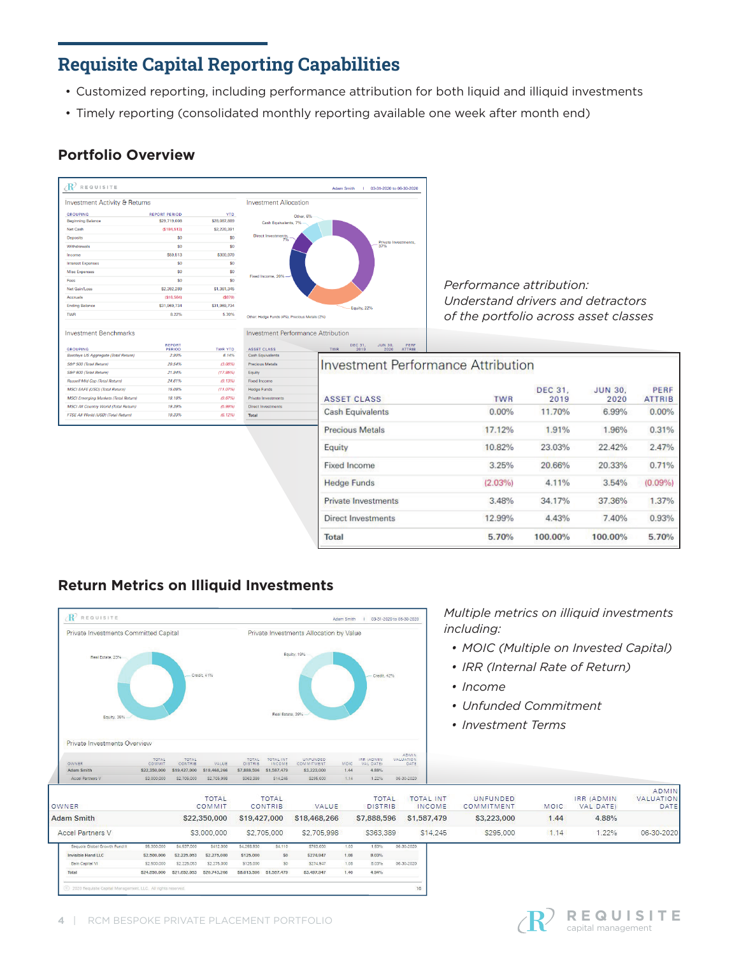# **Requisite Capital Reporting Capabilities**

- Customized reporting, including performance attribution for both liquid and illiquid investments
- Timely reporting (consolidated monthly reporting available one week after month end)

### **Portfolio Overview**





*Performance attribution: Understand drivers and detractors of the portfolio across asset classes*

#### **Investment Benchmarks**

| <b>GROUPING</b>                              | <b>REPORT</b><br>PERIOD | <b>TWR YTD</b> | <b>ASSET CLASS</b>      |
|----------------------------------------------|-------------------------|----------------|-------------------------|
| Barclays US Aggregate (Total Return)         | 2.90%                   | 6.14%          | <b>Cash Equivalent</b>  |
| <b>S&amp;P 500 (Total Return)</b>            | 20.54%                  | (3.08%         | <b>Precious Metals</b>  |
| S&P 600 (Total Return)                       | 21.94%                  | (17.85%)       | Eauity                  |
| <b>Russell Mid Cap (Total Return)</b>        | 24.61%                  | (9.13%)        | Fixed Income            |
| <b>MSCI EAFE (USD) (Total Return)</b>        | 15.08%                  | (11.07%        | <b>Hedge Funds</b>      |
| <b>MSCI Emerging Markets (Total Return)</b>  | 18.18%                  | (9.67%)        | Private Investme        |
| <b>MSCI All Country World (Total Return)</b> | 19.39%                  | (5.99%)        | <b>Direct Investmen</b> |
| FTSE All World (USD) (Total Return)          | 19.33%                  | (6.12%)        | <b>Total</b>            |
|                                              |                         |                |                         |

**Investment Performance Attribution** 

ate Im ect Investment

| <b>ASSET CLASS</b>         | <b>TWR</b> | <b>DEC 31.</b><br>2019 | <b>JUN 30.</b><br>2020 | PERF<br><b>ATTRIB</b> |
|----------------------------|------------|------------------------|------------------------|-----------------------|
| <b>Cash Equivalents</b>    | 0.00%      | 11.70%                 | 6.99%                  | 0.00%                 |
| <b>Precious Metals</b>     | 17.12%     | 1.91%                  | 1.96%                  | 0.31%                 |
| Equity                     | 10.82%     | 23.03%                 | 22.42%                 | 2.47%                 |
| <b>Fixed Income</b>        | 3.25%      | 20.66%                 | 20.33%                 | 0.71%                 |
| <b>Hedge Funds</b>         | $(2.03\%)$ | 4.11%                  | 3.54%                  | (0.09%                |
| <b>Private Investments</b> | 3.48%      | 34.17%                 | 37.36%                 | 1.37%                 |
| Direct Investments         | 12.99%     | 4.43%                  | 7.40%                  | 0.93%                 |
| Total                      | 5.70%      | 100.00%                | 100.00%                | 5.70%                 |

### **Return Metrics on Illiquid Investments**



*Multiple metrics on illiquid investments including:*

- *• MOIC (Multiple on Invested Capital)*
- *• IRR (Internal Rate of Return)*
- *• Income*
- *• Unfunded Commitment*
- *• Investment Terms*

| OWNER                         |              |              | <b>TOTAL</b><br>COMMIT |              | <b>TOTAL</b><br><b>CONTRIB</b> | VALUE        |      | <b>TOTAL</b><br><b>DISTRIB</b> |            | <b>TOTAL INT</b><br><b>INCOME</b> | <b>UNFUNDED</b><br>COMMITMENT | <b>MOIC</b> | IRR (ADMIN<br>VAL DATE) | ADMIN<br>VALUATION<br>DATE |
|-------------------------------|--------------|--------------|------------------------|--------------|--------------------------------|--------------|------|--------------------------------|------------|-----------------------------------|-------------------------------|-------------|-------------------------|----------------------------|
| <b>Adam Smith</b>             |              |              | \$22,350,000           | \$19,427,000 |                                | \$18,468,266 |      | \$7,888,596                    |            | \$1,587,479                       | \$3,223,000                   | 1.44        | 4.88%                   |                            |
| Accel Partners V              |              |              | \$3,000,000            |              | \$2,705,000                    | \$2,705,998  |      | \$363,389                      |            | \$14,245                          | \$295,000                     | 1.14        | 1.22%                   | 06-30-2020                 |
| Seguoia Global Growth Fund II | \$5,300,000  | S4,537,000   | S412,000               | \$4,258,930  | \$4,110                        | \$763,000    | 1.03 | 1.63%                          | 06-30-2020 |                                   |                               |             |                         |                            |
| <b>Invisible Hand LLC</b>     | \$2,500,000  | \$2,225,053  | \$2,275,000            | \$125,000    | \$0                            | \$274,947    | 1.08 | 8.03%                          |            |                                   |                               |             |                         |                            |
| Bain Capital VI               | \$2,500,000  | \$2,225.053  | \$2,275,000            | \$125,000    | SO <sub>1</sub>                | \$274,947    | 1.08 | 8.03%                          | 06-30-2020 |                                   |                               |             |                         |                            |
| Total                         | \$24,850,000 | \$21,652,053 | \$20,743,266           | \$8,013,596  | \$1,587,479                    | \$3,497,947  | 1.40 | 4.94%                          |            |                                   |                               |             |                         |                            |